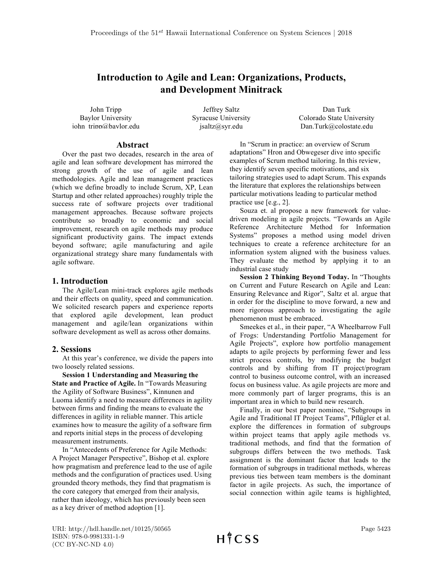# **Introduction to Agile and Lean: Organizations, Products, and Development Minitrack**

John Tripp Baylor University john\_tripp@baylor.edu

Jeffrey Saltz Syracuse University jsaltz@syr.edu

Dan Turk Colorado State University Dan.Turk@colostate.edu

### **Abstract**

Over the past two decades, research in the area of agile and lean software development has mirrored the strong growth of the use of agile and lean methodologies. Agile and lean management practices (which we define broadly to include Scrum, XP, Lean Startup and other related approaches) roughly triple the success rate of software projects over traditional management approaches. Because software projects contribute so broadly to economic and social improvement, research on agile methods may produce significant productivity gains. The impact extends beyond software; agile manufacturing and agile organizational strategy share many fundamentals with agile software.

## **1. Introduction**

The Agile/Lean mini-track explores agile methods and their effects on quality, speed and communication. We solicited research papers and experience reports that explored agile development, lean product management and agile/lean organizations within software development as well as across other domains.

#### **2. Sessions**

At this year's conference, we divide the papers into two loosely related sessions.

**Session 1 Understanding and Measuring the State and Practice of Agile.** In "Towards Measuring the Agility of Software Business", Kinnunen and Luoma identify a need to measure differences in agility between firms and finding the means to evaluate the differences in agility in reliable manner. This article examines how to measure the agility of a software firm and reports initial steps in the process of developing measurement instruments.

In "Antecedents of Preference for Agile Methods: A Project Manager Perspective", Bishop et al. explore how pragmatism and preference lead to the use of agile methods and the configuration of practices used. Using grounded theory methods, they find that pragmatism is the core category that emerged from their analysis, rather than ideology, which has previously been seen as a key driver of method adoption [1].

In "Scrum in practice: an overview of Scrum adaptations" Hron and Obwegeser dive into specific examples of Scrum method tailoring. In this review, they identify seven specific motivations, and six tailoring strategies used to adapt Scrum. This expands the literature that explores the relationships between particular motivations leading to particular method practice use [e.g., 2].

Souza et. al propose a new framework for valuedriven modeling in agile projects. "Towards an Agile Reference Architecture Method for Information Systems" proposes a method using model driven techniques to create a reference architecture for an information system aligned with the business values. They evaluate the method by applying it to an industrial case study

**Session 2 Thinking Beyond Today.** In "Thoughts on Current and Future Research on Agile and Lean: Ensuring Relevance and Rigor", Saltz et al. argue that in order for the discipline to move forward, a new and more rigorous approach to investigating the agile phenomenon must be embraced.

Smeekes et al., in their paper, "A Wheelbarrow Full of Frogs: Understanding Portfolio Management for Agile Projects", explore how portfolio management adapts to agile projects by performing fewer and less strict process controls, by modifying the budget controls and by shifting from IT project/program control to business outcome control, with an increased focus on business value. As agile projects are more and more commonly part of larger programs, this is an important area in which to build new research.

Finally, in our best paper nominee, "Subgroups in Agile and Traditional IT Project Teams", Pflügler et al. explore the differences in formation of subgroups within project teams that apply agile methods vs. traditional methods, and find that the formation of subgroups differs between the two methods. Task assignment is the dominant factor that leads to the formation of subgroups in traditional methods, whereas previous ties between team members is the dominant factor in agile projects. As such, the importance of social connection within agile teams is highlighted,

URI: http://hdl.handle.net/10125/50565 ISBN: 978-0-9981331-1-9 (CC BY-NC-ND 4.0)